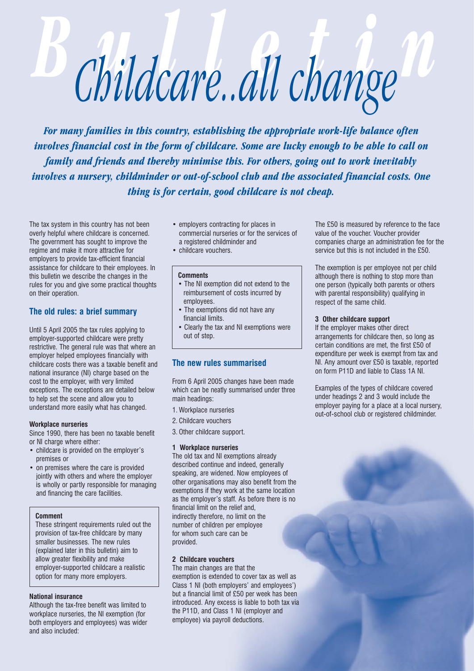# *Bulletin Childcare..all change*

*For many families in this country, establishing the appropriate work-life balance often involves financial cost in the form of childcare. Some are lucky enough to be able to call on family and friends and thereby minimise this. For others, going out to work inevitably involves a nursery, childminder or out-of-school club and the associated financial costs. One thing is for certain, good childcare is not cheap.*

The tax system in this country has not been overly helpful where childcare is concerned. The government has sought to improve the regime and make it more attractive for employers to provide tax-efficient financial assistance for childcare to their employees. In this bulletin we describe the changes in the rules for you and give some practical thoughts on their operation.

# **The old rules: a brief summary**

Until 5 April 2005 the tax rules applying to employer-supported childcare were pretty restrictive. The general rule was that where an employer helped employees financially with childcare costs there was a taxable benefit and national insurance (NI) charge based on the cost to the employer, with very limited exceptions. The exceptions are detailed below to help set the scene and allow you to understand more easily what has changed.

## **Workplace nurseries**

Since 1990, there has been no taxable benefit or NI charge where either:

- childcare is provided on the employer's premises or
- on premises where the care is provided jointly with others and where the employer is wholly or partly responsible for managing and financing the care facilities.

#### **Comment**

These stringent requirements ruled out the provision of tax-free childcare by many smaller businesses. The new rules (explained later in this bulletin) aim to allow greater flexibility and make employer-supported childcare a realistic option for many more employers.

## **National insurance**

Although the tax-free benefit was limited to workplace nurseries, the NI exemption (for both employers and employees) was wider and also included:

- employers contracting for places in commercial nurseries or for the services of a registered childminder and
- childcare vouchers.

#### **Comments**

- The NI exemption did not extend to the reimbursement of costs incurred by employees.
- The exemptions did not have any financial limits.
- Clearly the tax and NI exemptions were out of step.

# **The new rules summarised**

From 6 April 2005 changes have been made which can be neatly summarised under three main headings:

- 1. Workplace nurseries
- 2. Childcare vouchers
- 3. Other childcare support.

#### **1 Workplace nurseries**

The old tax and NI exemptions already described continue and indeed, generally speaking, are widened. Now employees of other organisations may also benefit from the exemptions if they work at the same location as the employer's staff. As before there is no financial limit on the relief and, indirectly therefore, no limit on the number of children per employee for whom such care can be provided.

#### **2 Childcare vouchers**

The main changes are that the exemption is extended to cover tax as well as Class 1 NI (both employers' and employees') but a financial limit of £50 per week has been introduced. Any excess is liable to both tax via the P11D, and Class 1 NI (employer and employee) via payroll deductions.

The £50 is measured by reference to the face value of the voucher. Voucher provider companies charge an administration fee for the service but this is not included in the £50.

The exemption is per employee not per child although there is nothing to stop more than one person (typically both parents or others with parental responsibility) qualifying in respect of the same child.

#### **3 Other childcare support**

If the employer makes other direct arrangements for childcare then, so long as certain conditions are met, the first £50 of expenditure per week is exempt from tax and NI. Any amount over £50 is taxable, reported on form P11D and liable to Class 1A NI.

Examples of the types of childcare covered under headings 2 and 3 would include the employer paying for a place at a local nursery, out-of-school club or registered childminder.